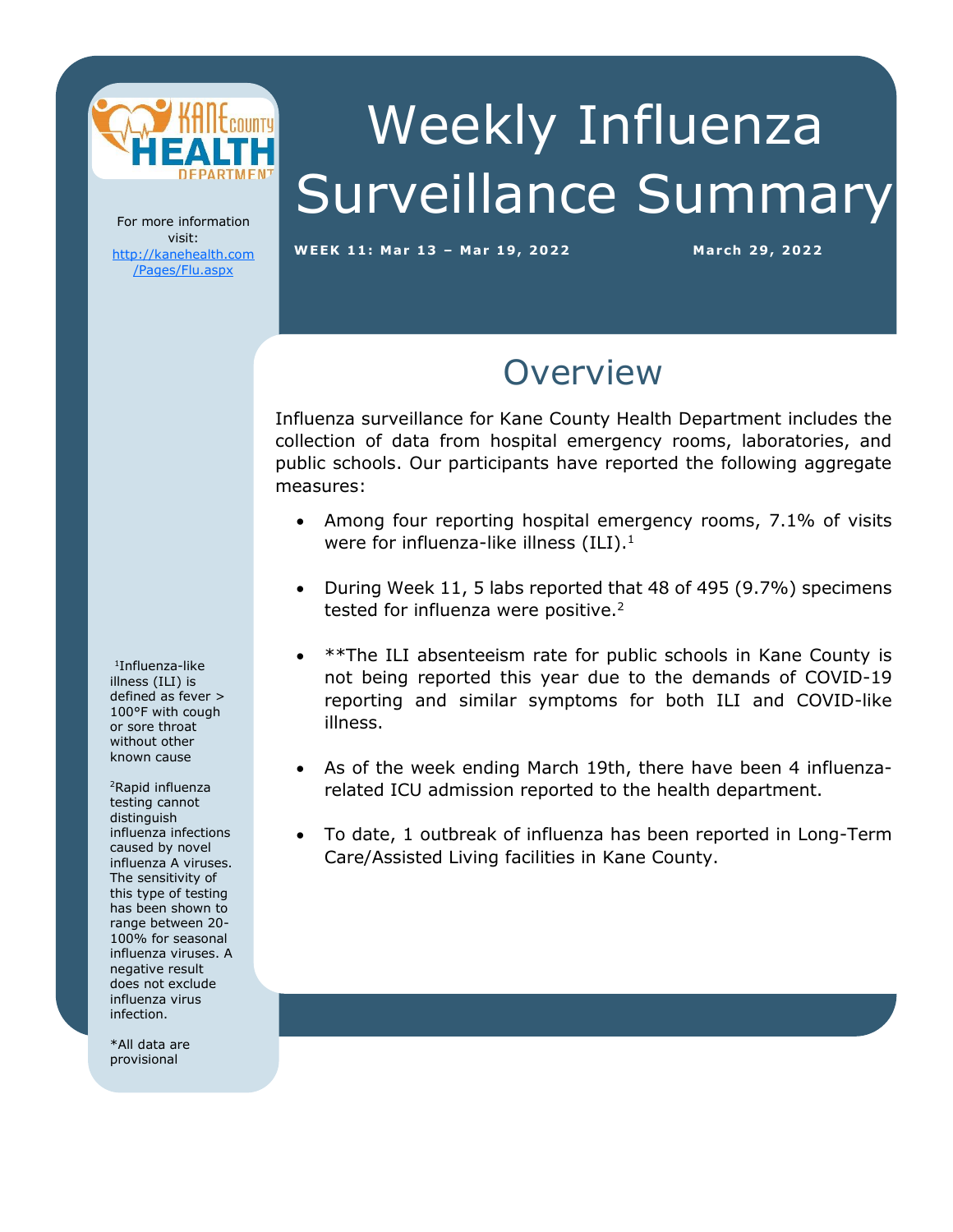

# Weekly Influenza Surveillance Summary

For more information visit: [http://kanehealth.com](http://kanehealth.com/Pages/Flu.aspx) [/Pages/Flu.aspx](http://kanehealth.com/Pages/Flu.aspx)

**WEEK 11: Mar 1 3 – Mar 19, 2 0 2 2 March 29, 2 0 22**

data that make this monitoring possible.

#### **Overview**

Influenza surveillance for Kane County Health Department includes the collection of data from hospital emergency rooms, laboratories, and public schools. Our participants have reported the following aggregate measures:

- Among four reporting hospital emergency rooms, 7.1% of visits were for influenza-like illness  $(ILI).<sup>1</sup>$
- During Week 11, 5 labs reported that 48 of 495 (9.7%) specimens tested for influenza were positive.<sup>2</sup>
- \*\*The ILI absenteeism rate for public schools in Kane County is not being reported this year due to the demands of COVID-19 reporting and similar symptoms for both ILI and COVID-like illness.
- As of the week ending March 19th, there have been 4 influenzarelated ICU admission reported to the health department.
- To date, 1 outbreak of influenza has been reported in Long-Term Care/Assisted Living facilities in Kane County.

1 Influenza-like illness (ILI) is defined as fever > 100°F with cough or sore throat without other known cause

<sup>2</sup>Rapid influenza testing cannot distinguish influenza infections caused by novel influenza A viruses. The sensitivity of this type of testing has been shown to range between 20- 100% for seasonal influenza viruses. A negative result does not exclude influenza virus infection.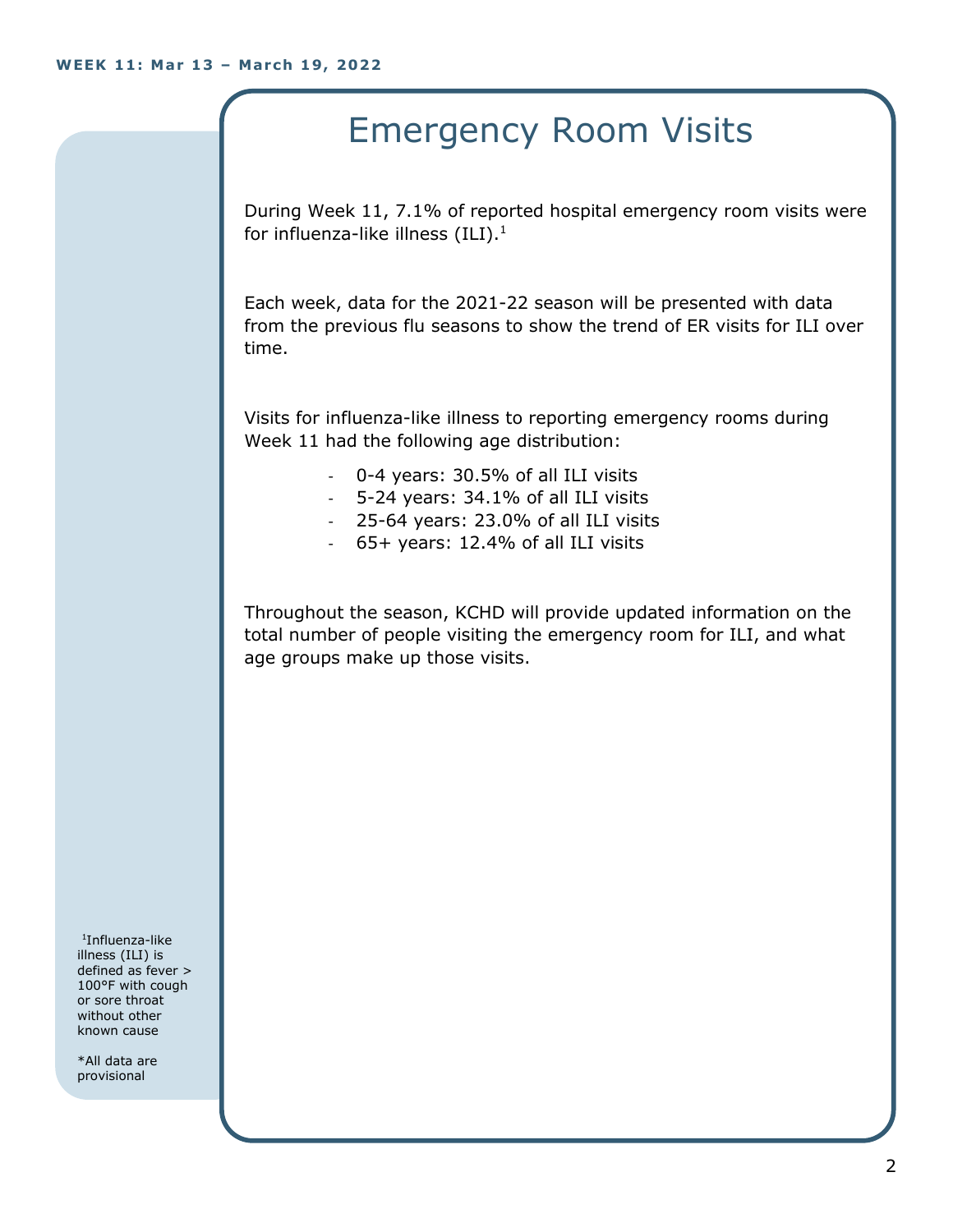## Emergency Room Visits

During Week 11, 7.1% of reported hospital emergency room visits were for influenza-like illness  $(III).<sup>1</sup>$ 

Each week, data for the 2021-22 season will be presented with data from the previous flu seasons to show the trend of ER visits for ILI over time.

Visits for influenza-like illness to reporting emergency rooms during Week 11 had the following age distribution:

- 0-4 years: 30.5% of all ILI visits
- 5-24 years: 34.1% of all ILI visits
- 25-64 years: 23.0% of all ILI visits
- 65+ years: 12.4% of all ILI visits

Throughout the season, KCHD will provide updated information on the total number of people visiting the emergency room for ILI, and what age groups make up those visits.

1 Influenza-like illness (ILI) is defined as fever > 100°F with cough or sore throat without other known cause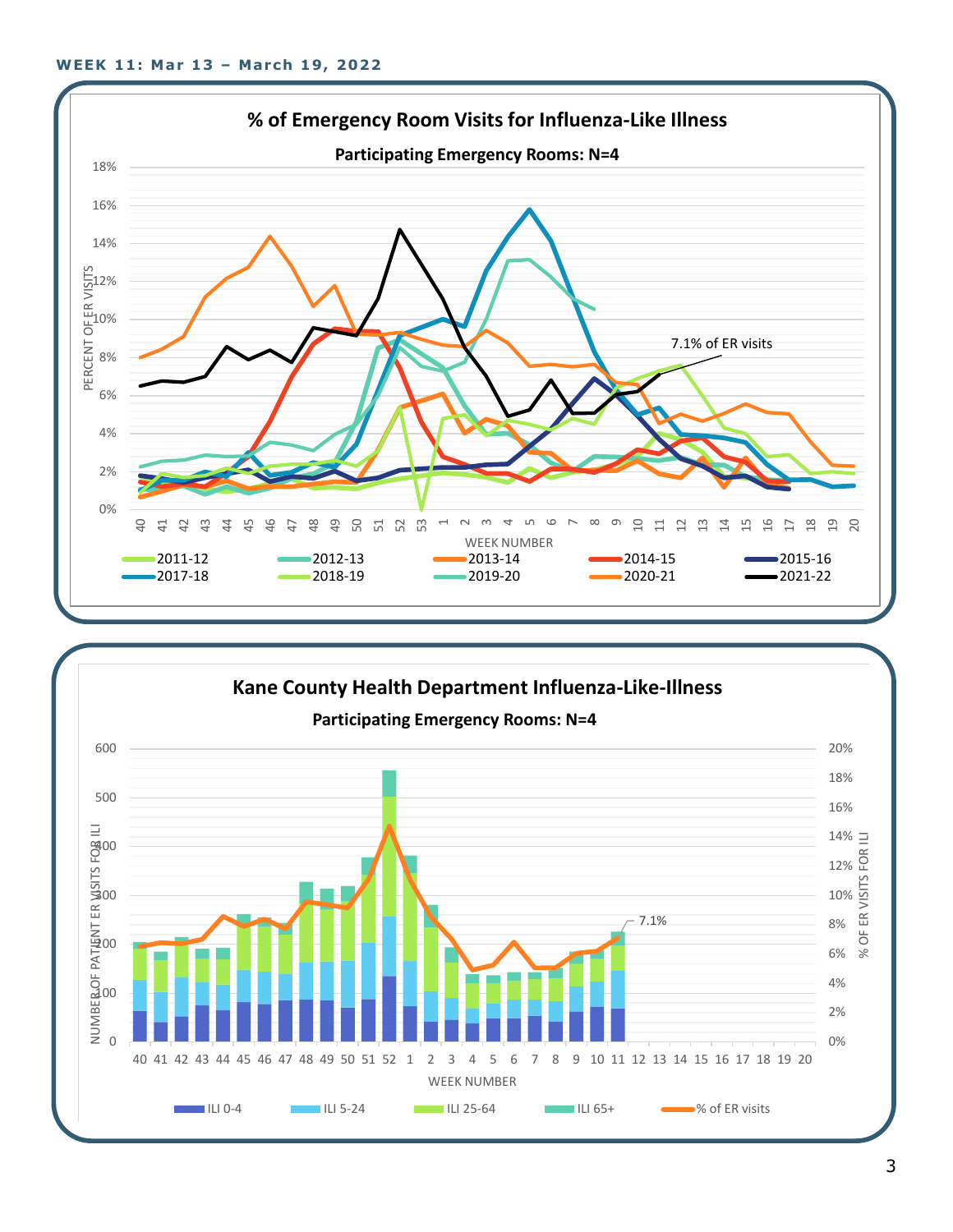

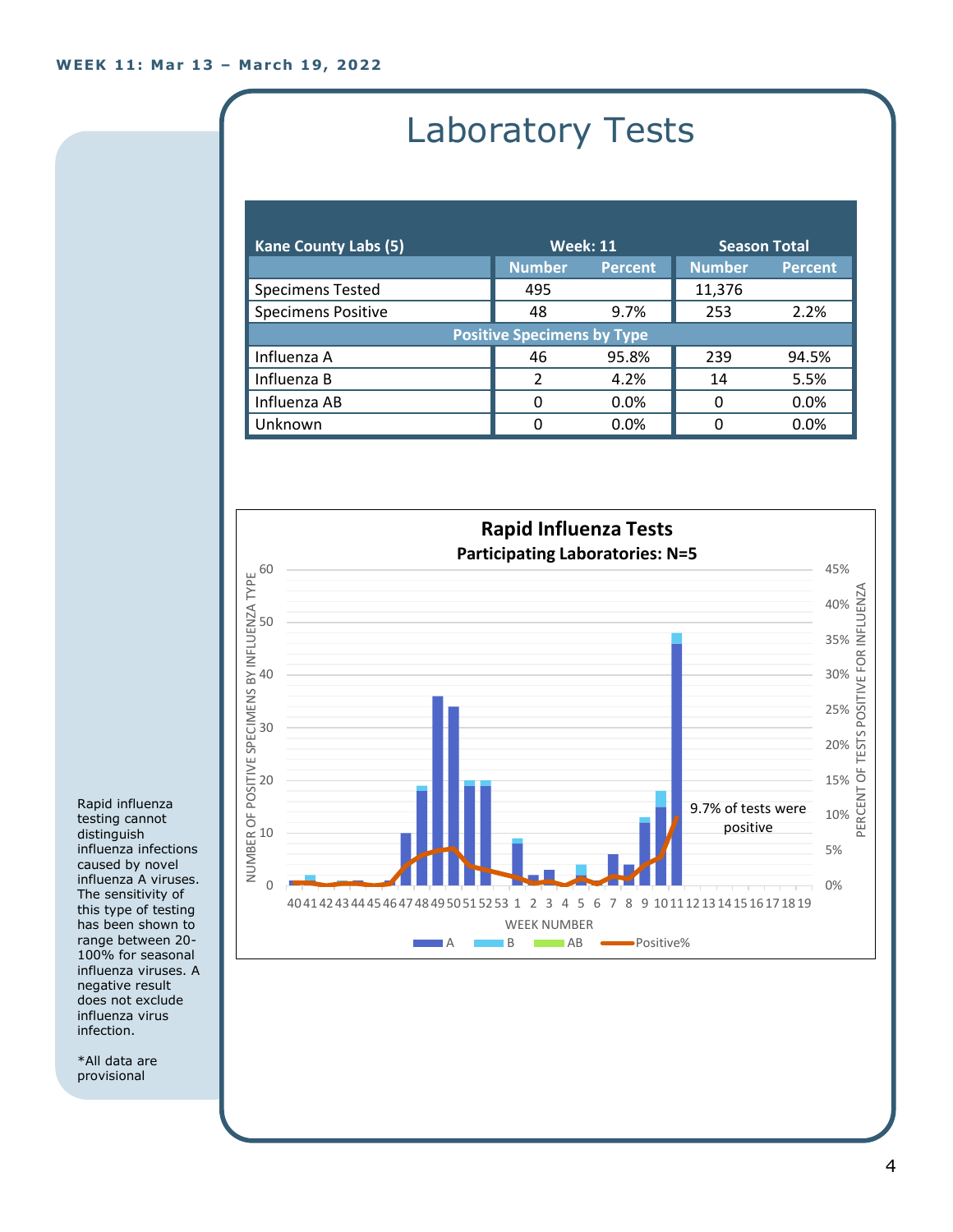## Laboratory Tests

| <b>Kane County Labs (5)</b>       | <b>Week: 11</b> |                | <b>Season Total</b> |                |  |
|-----------------------------------|-----------------|----------------|---------------------|----------------|--|
|                                   | <b>Number</b>   | <b>Percent</b> | <b>Number</b>       | <b>Percent</b> |  |
| <b>Specimens Tested</b>           | 495             |                | 11,376              |                |  |
| <b>Specimens Positive</b>         | 48              | 9.7%           | 253                 | 2.2%           |  |
| <b>Positive Specimens by Type</b> |                 |                |                     |                |  |
| Influenza A                       | 46              | 95.8%          | 239                 | 94.5%          |  |
| Influenza B                       | $\mathfrak{p}$  | 4.2%           | 14                  | 5.5%           |  |
| Influenza AB                      | 0               | $0.0\%$        | 0                   | 0.0%           |  |
| Unknown                           | 0               | 0.0%           | O                   | 0.0%           |  |



Rapid influenza testing cannot distinguish influenza infections caused by novel influenza A viruses. The sensitivity of this type of testing has been shown to range between 20- 100% for seasonal influenza viruses. A negative result does not exclude influenza virus infection.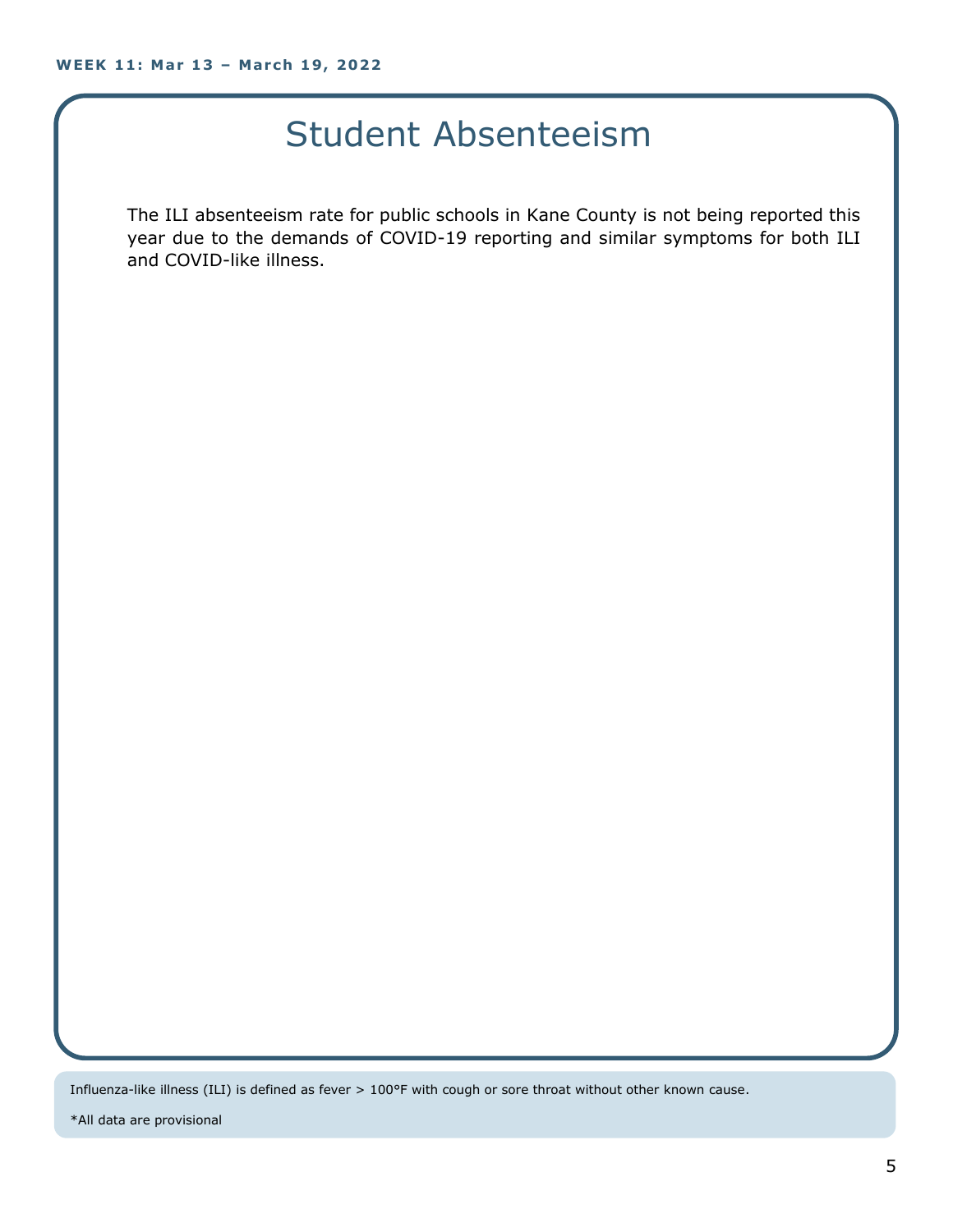#### Student Absenteeism

The ILI absenteeism rate for public schools in Kane County is not being reported this year due to the demands of COVID-19 reporting and similar symptoms for both ILI and COVID-like illness.

Influenza-like illness (ILI) is defined as fever > 100°F with cough or sore throat without other known cause.